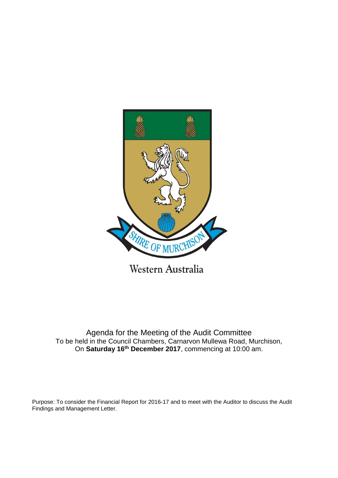

Western Australia

Agenda for the Meeting of the Audit Committee To be held in the Council Chambers, Carnarvon Mullewa Road, Murchison, On **Saturday 16th December 2017**, commencing at 10:00 am.

Purpose: To consider the Financial Report for 2016-17 and to meet with the Auditor to discuss the Audit Findings and Management Letter.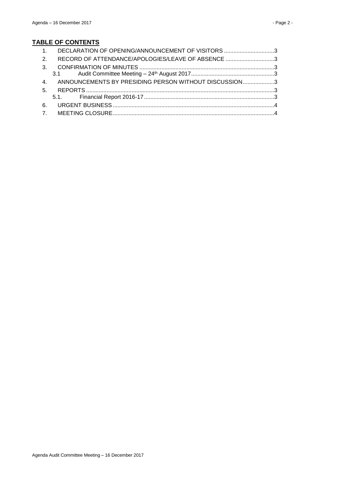# **TABLE OF CONTENTS**

| 1. DECLARATION OF OPENING/ANNOUNCEMENT OF VISITORS 3     |  |
|----------------------------------------------------------|--|
| 2. RECORD OF ATTENDANCE/APOLOGIES/LEAVE OF ABSENCE 3     |  |
|                                                          |  |
|                                                          |  |
| 4. ANNOUNCEMENTS BY PRESIDING PERSON WITHOUT DISCUSSION3 |  |
|                                                          |  |
|                                                          |  |
|                                                          |  |
|                                                          |  |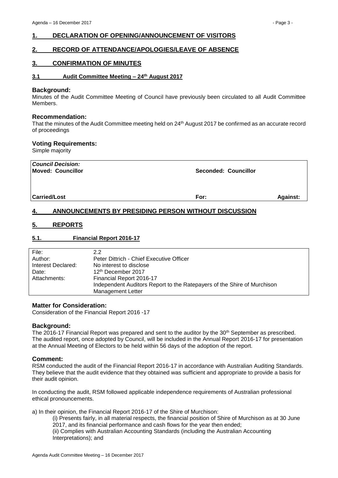# <span id="page-2-0"></span>**1. DECLARATION OF OPENING/ANNOUNCEMENT OF VISITORS**

# <span id="page-2-1"></span>**2. RECORD OF ATTENDANCE/APOLOGIES/LEAVE OF ABSENCE**

## <span id="page-2-2"></span>**3. CONFIRMATION OF MINUTES**

### <span id="page-2-3"></span>**3.1 Audit Committee Meeting – 24 th August 2017**

#### **Background:**

Minutes of the Audit Committee Meeting of Council have previously been circulated to all Audit Committee Members.

#### **Recommendation:**

That the minutes of the Audit Committee meeting held on 24<sup>th</sup> August 2017 be confirmed as an accurate record of proceedings

#### **Voting Requirements:**

Simple majority

| <b>Council Decision:</b><br><b>Moved: Councillor</b> | <b>Seconded: Councillor</b> |                 |
|------------------------------------------------------|-----------------------------|-----------------|
| <b>Carried/Lost</b>                                  | For:                        | <b>Against:</b> |

# <span id="page-2-4"></span>**4. ANNOUNCEMENTS BY PRESIDING PERSON WITHOUT DISCUSSION**

## <span id="page-2-5"></span>**5. REPORTS**

#### <span id="page-2-6"></span>**5.1. Financial Report 2016-17**

| File:              | 2.2                                                                     |
|--------------------|-------------------------------------------------------------------------|
| Author:            | Peter Dittrich - Chief Executive Officer                                |
| Interest Declared: | No interest to disclose                                                 |
| Date:              | 12 <sup>th</sup> December 2017                                          |
| Attachments:       | Financial Report 2016-17                                                |
|                    | Independent Auditors Report to the Ratepayers of the Shire of Murchison |
|                    | <b>Management Letter</b>                                                |

#### **Matter for Consideration:**

Consideration of the Financial Report 2016 -17

#### **Background:**

The 2016-17 Financial Report was prepared and sent to the auditor by the 30th September as prescribed. The audited report, once adopted by Council, will be included in the Annual Report 2016-17 for presentation at the Annual Meeting of Electors to be held within 56 days of the adoption of the report.

#### **Comment:**

RSM conducted the audit of the Financial Report 2016-17 in accordance with Australian Auditing Standards. They believe that the audit evidence that they obtained was sufficient and appropriate to provide a basis for their audit opinion.

In conducting the audit, RSM followed applicable independence requirements of Australian professional ethical pronouncements.

a) In their opinion, the Financial Report 2016-17 of the Shire of Murchison:

(i) Presents fairly, in all material respects, the financial position of Shire of Murchison as at 30 June 2017, and its financial performance and cash flows for the year then ended; (ii) Complies with Australian Accounting Standards (including the Australian Accounting Interpretations); and